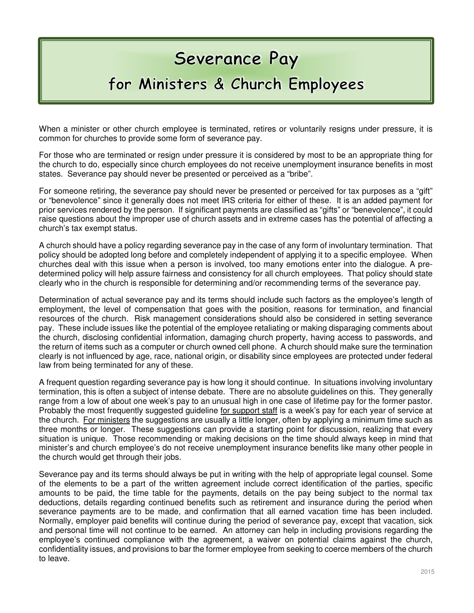## Severance Pay

## for Ministers & Church Employees

When a minister or other church employee is terminated, retires or voluntarily resigns under pressure, it is common for churches to provide some form of severance pay.

For those who are terminated or resign under pressure it is considered by most to be an appropriate thing for the church to do, especially since church employees do not receive unemployment insurance benefits in most states. Severance pay should never be presented or perceived as a "bribe".

For someone retiring, the severance pay should never be presented or perceived for tax purposes as a "gift" or "benevolence" since it generally does not meet IRS criteria for either of these. It is an added payment for prior services rendered by the person. If significant payments are classified as "gifts" or "benevolence", it could raise questions about the improper use of church assets and in extreme cases has the potential of affecting a church's tax exempt status.

A church should have a policy regarding severance pay in the case of any form of involuntary termination. That policy should be adopted long before and completely independent of applying it to a specific employee. When churches deal with this issue when a person is involved, too many emotions enter into the dialogue. A predetermined policy will help assure fairness and consistency for all church employees. That policy should state clearly who in the church is responsible for determining and/or recommending terms of the severance pay.

Determination of actual severance pay and its terms should include such factors as the employee's length of employment, the level of compensation that goes with the position, reasons for termination, and financial resources of the church. Risk management considerations should also be considered in setting severance pay. These include issues like the potential of the employee retaliating or making disparaging comments about the church, disclosing confidential information, damaging church property, having access to passwords, and the return of items such as a computer or church owned cell phone. A church should make sure the termination clearly is not influenced by age, race, national origin, or disability since employees are protected under federal law from being terminated for any of these.

A frequent question regarding severance pay is how long it should continue. In situations involving involuntary termination, this is often a subject of intense debate. There are no absolute guidelines on this. They generally range from a low of about one week's pay to an unusual high in one case of lifetime pay for the former pastor. Probably the most frequently suggested guideline for support staff is a week's pay for each year of service at the church. For ministers the suggestions are usually a little longer, often by applying a minimum time such as three months or longer. These suggestions can provide a starting point for discussion, realizing that every situation is unique. Those recommending or making decisions on the time should always keep in mind that minister's and church employee's do not receive unemployment insurance benefits like many other people in the church would get through their jobs.

Severance pay and its terms should always be put in writing with the help of appropriate legal counsel. Some of the elements to be a part of the written agreement include correct identification of the parties, specific amounts to be paid, the time table for the payments, details on the pay being subject to the normal tax deductions, details regarding continued benefits such as retirement and insurance during the period when severance payments are to be made, and confirmation that all earned vacation time has been included. Normally, employer paid benefits will continue during the period of severance pay, except that vacation, sick and personal time will not continue to be earned. An attorney can help in including provisions regarding the employee's continued compliance with the agreement, a waiver on potential claims against the church, confidentiality issues, and provisions to bar the former employee from seeking to coerce members of the church to leave.